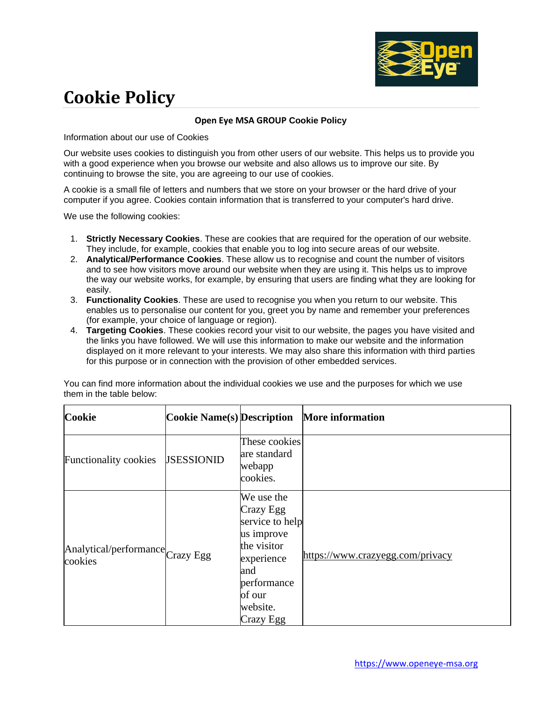

## **Cookie Policy**

## **Open Eye MSA GROUP Cookie Policy**

Information about our use of Cookies

Our website uses cookies to distinguish you from other users of our website. This helps us to provide you with a good experience when you browse our website and also allows us to improve our site. By continuing to browse the site, you are agreeing to our use of cookies.

A cookie is a small file of letters and numbers that we store on your browser or the hard drive of your computer if you agree. Cookies contain information that is transferred to your computer's hard drive.

We use the following cookies:

- 1. **Strictly Necessary Cookies**. These are cookies that are required for the operation of our website. They include, for example, cookies that enable you to log into secure areas of our website.
- 2. **Analytical/Performance Cookies**. These allow us to recognise and count the number of visitors and to see how visitors move around our website when they are using it. This helps us to improve the way our website works, for example, by ensuring that users are finding what they are looking for easily.
- 3. **Functionality Cookies**. These are used to recognise you when you return to our website. This enables us to personalise our content for you, greet you by name and remember your preferences (for example, your choice of language or region).
- 4. **Targeting Cookies**. These cookies record your visit to our website, the pages you have visited and the links you have followed. We will use this information to make our website and the information displayed on it more relevant to your interests. We may also share this information with third parties for this purpose or in connection with the provision of other embedded services.

| Cookie                                      | <b>Cookie Name(s)</b> Description |                                                                                                                                                | <b>More information</b>          |
|---------------------------------------------|-----------------------------------|------------------------------------------------------------------------------------------------------------------------------------------------|----------------------------------|
| <b>Functionality cookies</b>                | <b>JSESSIONID</b>                 | These cookies<br>are standard<br>webapp<br>cookies.                                                                                            |                                  |
| Analytical/performance Crazy Egg<br>cookies |                                   | We use the<br>Crazy Egg<br>service to help<br>us improve<br>the visitor<br>experience<br>and<br>performance<br>of our<br>website.<br>Crazy Egg | https://www.crazyegg.com/privacy |

You can find more information about the individual cookies we use and the purposes for which we use them in the table below: